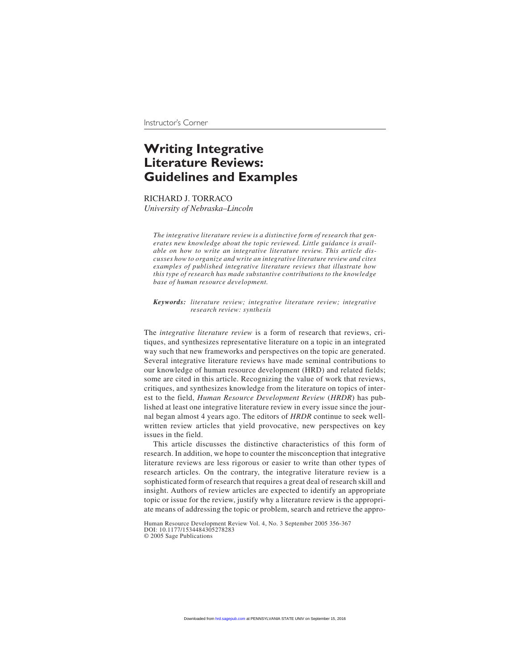# **Writing Integrative Literature Reviews: Guidelines and Examples**

RICHARD J. TORRACO *University of Nebraska–Lincoln*

*The integrative literature review is a distinctive form of research that generates new knowledge about the topic reviewed. Little guidance is available on how to write an integrative literature review. This article discusses how to organize and write an integrative literature review and cites examples of published integrative literature reviews that illustrate how this type of research has made substantive contributions to the knowledge base of human resource development.*

*Keywords: literature review; integrative literature review; integrative research review: synthesis*

The *integrative literature review* is a form of research that reviews, critiques, and synthesizes representative literature on a topic in an integrated way such that new frameworks and perspectives on the topic are generated. Several integrative literature reviews have made seminal contributions to our knowledge of human resource development (HRD) and related fields; some are cited in this article. Recognizing the value of work that reviews, critiques, and synthesizes knowledge from the literature on topics of interest to the field, *Human Resource Development Review* (*HRDR*) has published at least one integrative literature review in every issue since the journal began almost 4 years ago. The editors of *HRDR* continue to seek wellwritten review articles that yield provocative, new perspectives on key issues in the field.

This article discusses the distinctive characteristics of this form of research. In addition, we hope to counter the misconception that integrative literature reviews are less rigorous or easier to write than other types of research articles. On the contrary, the integrative literature review is a sophisticated form of research that requires a great deal of research skill and insight. Authors of review articles are expected to identify an appropriate topic or issue for the review, justify why a literature review is the appropriate means of addressing the topic or problem, search and retrieve the appro-

Human Resource Development Review Vol. 4, No. 3 September 2005 356-367 DOI: 10.1177/1534484305278283

<sup>© 2005</sup> Sage Publications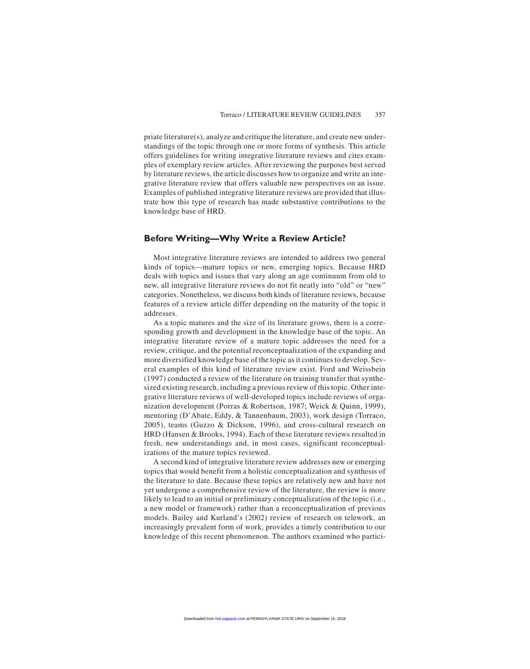priate literature(s), analyze and critique the literature, and create new understandings of the topic through one or more forms of synthesis. This article offers guidelines for writing integrative literature reviews and cites examples of exemplary review articles. After reviewing the purposes best served by literature reviews, the article discusses how to organize and write an integrative literature review that offers valuable new perspectives on an issue. Examples of published integrative literature reviews are provided that illustrate how this type of research has made substantive contributions to the knowledge base of HRD.

# **Before Writing—Why Write a Review Article?**

Most integrative literature reviews are intended to address two general kinds of topics—mature topics or new, emerging topics. Because HRD deals with topics and issues that vary along an age continuum from old to new, all integrative literature reviews do not fit neatly into "old" or "new" categories. Nonetheless, we discuss both kinds of literature reviews, because features of a review article differ depending on the maturity of the topic it addresses.

As a topic matures and the size of its literature grows, there is a corresponding growth and development in the knowledge base of the topic. An integrative literature review of a mature topic addresses the need for a review, critique, and the potential reconceptualization of the expanding and more diversified knowledge base of the topic as it continues to develop. Several examples of this kind of literature review exist. Ford and Weissbein (1997) conducted a review of the literature on training transfer that synthesized existing research, including a previous review of this topic. Other integrative literature reviews of well-developed topics include reviews of organization development (Porras & Robertson, 1987; Weick & Quinn, 1999), mentoring (D'Abate, Eddy, & Tannenbaum, 2003), work design (Torraco, 2005), teams (Guzzo & Dickson, 1996), and cross-cultural research on HRD (Hansen & Brooks, 1994). Each of these literature reviews resulted in fresh, new understandings and, in most cases, significant reconceptualizations of the mature topics reviewed.

A second kind of integrative literature review addresses new or emerging topics that would benefit from a holistic conceptualization and synthesis of the literature to date. Because these topics are relatively new and have not yet undergone a comprehensive review of the literature, the review is more likely to lead to an initial or preliminary conceptualization of the topic (i.e., a new model or framework) rather than a reconceptualization of previous models. Bailey and Kurland's (2002) review of research on telework, an increasingly prevalent form of work, provides a timely contribution to our knowledge of this recent phenomenon. The authors examined who partici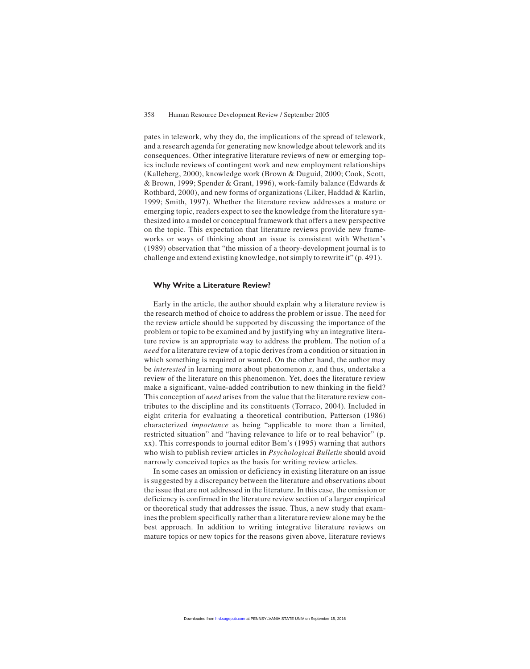pates in telework, why they do, the implications of the spread of telework, and a research agenda for generating new knowledge about telework and its consequences. Other integrative literature reviews of new or emerging topics include reviews of contingent work and new employment relationships (Kalleberg, 2000), knowledge work (Brown & Duguid, 2000; Cook, Scott, & Brown, 1999; Spender & Grant, 1996), work-family balance (Edwards & Rothbard, 2000), and new forms of organizations (Liker, Haddad & Karlin, 1999; Smith, 1997). Whether the literature review addresses a mature or emerging topic, readers expect to see the knowledge from the literature synthesized into a model or conceptual framework that offers a new perspective on the topic. This expectation that literature reviews provide new frameworks or ways of thinking about an issue is consistent with Whetten's (1989) observation that "the mission of a theory-development journal is to challenge and extend existing knowledge, not simply to rewrite it" (p. 491).

#### **Why Write a Literature Review?**

Early in the article, the author should explain why a literature review is the research method of choice to address the problem or issue. The need for the review article should be supported by discussing the importance of the problem or topic to be examined and by justifying why an integrative literature review is an appropriate way to address the problem. The notion of a *need* for a literature review of a topic derives from a condition or situation in which something is required or wanted. On the other hand, the author may be *interested* in learning more about phenomenon *x*, and thus, undertake a review of the literature on this phenomenon. Yet, does the literature review make a significant, value-added contribution to new thinking in the field? This conception of *need* arises from the value that the literature review contributes to the discipline and its constituents (Torraco, 2004). Included in eight criteria for evaluating a theoretical contribution, Patterson (1986) characterized *importance* as being "applicable to more than a limited, restricted situation" and "having relevance to life or to real behavior" (p. xx). This corresponds to journal editor Bem's (1995) warning that authors who wish to publish review articles in *Psychological Bulletin* should avoid narrowly conceived topics as the basis for writing review articles.

In some cases an omission or deficiency in existing literature on an issue is suggested by a discrepancy between the literature and observations about the issue that are not addressed in the literature. In this case, the omission or deficiency is confirmed in the literature review section of a larger empirical or theoretical study that addresses the issue. Thus, a new study that examines the problem specifically rather than a literature review alone may be the best approach. In addition to writing integrative literature reviews on mature topics or new topics for the reasons given above, literature reviews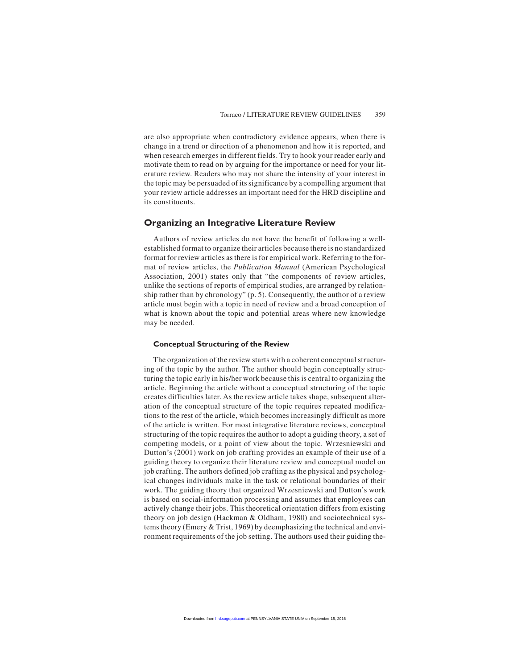are also appropriate when contradictory evidence appears, when there is change in a trend or direction of a phenomenon and how it is reported, and when research emerges in different fields. Try to hook your reader early and motivate them to read on by arguing for the importance or need for your literature review. Readers who may not share the intensity of your interest in the topic may be persuaded of its significance by a compelling argument that your review article addresses an important need for the HRD discipline and its constituents.

# **Organizing an Integrative Literature Review**

Authors of review articles do not have the benefit of following a wellestablished format to organize their articles because there is no standardized format for review articles as there is for empirical work. Referring to the format of review articles, the *Publication Manual* (American Psychological Association, 2001) states only that "the components of review articles, unlike the sections of reports of empirical studies, are arranged by relationship rather than by chronology" (p. 5). Consequently, the author of a review article must begin with a topic in need of review and a broad conception of what is known about the topic and potential areas where new knowledge may be needed.

# **Conceptual Structuring of the Review**

The organization of the review starts with a coherent conceptual structuring of the topic by the author. The author should begin conceptually structuring the topic early in his/her work because this is central to organizing the article. Beginning the article without a conceptual structuring of the topic creates difficulties later. As the review article takes shape, subsequent alteration of the conceptual structure of the topic requires repeated modifications to the rest of the article, which becomes increasingly difficult as more of the article is written. For most integrative literature reviews, conceptual structuring of the topic requires the author to adopt a guiding theory, a set of competing models, or a point of view about the topic. Wrzesniewski and Dutton's (2001) work on job crafting provides an example of their use of a guiding theory to organize their literature review and conceptual model on job crafting. The authors defined job crafting as the physical and psychological changes individuals make in the task or relational boundaries of their work. The guiding theory that organized Wrzesniewski and Dutton's work is based on social-information processing and assumes that employees can actively change their jobs. This theoretical orientation differs from existing theory on job design (Hackman & Oldham, 1980) and sociotechnical systems theory (Emery & Trist, 1969) by deemphasizing the technical and environment requirements of the job setting. The authors used their guiding the-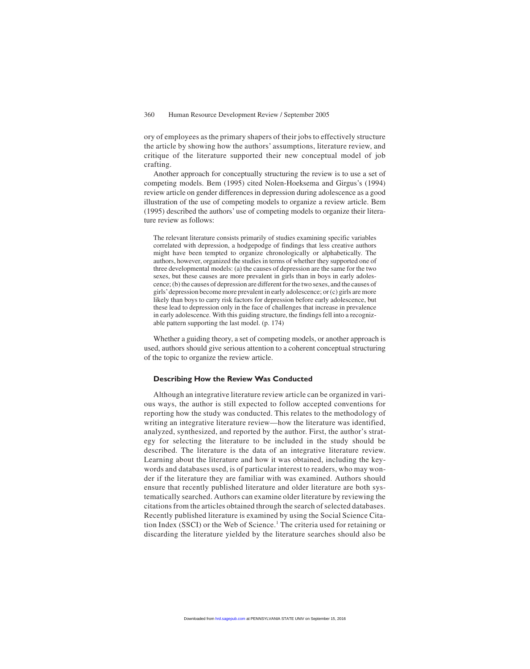### 360 Human Resource Development Review / September 2005

ory of employees as the primary shapers of their jobs to effectively structure the article by showing how the authors' assumptions, literature review, and critique of the literature supported their new conceptual model of job crafting.

Another approach for conceptually structuring the review is to use a set of competing models. Bem (1995) cited Nolen-Hoeksema and Girgus's (1994) review article on gender differences in depression during adolescence as a good illustration of the use of competing models to organize a review article. Bem (1995) described the authors' use of competing models to organize their literature review as follows:

The relevant literature consists primarily of studies examining specific variables correlated with depression, a hodgepodge of findings that less creative authors might have been tempted to organize chronologically or alphabetically. The authors, however, organized the studies in terms of whether they supported one of three developmental models: (a) the causes of depression are the same for the two sexes, but these causes are more prevalent in girls than in boys in early adolescence; (b) the causes of depression are different for the two sexes, and the causes of girls'depression become more prevalent in early adolescence; or (c) girls are more likely than boys to carry risk factors for depression before early adolescence, but these lead to depression only in the face of challenges that increase in prevalence in early adolescence. With this guiding structure, the findings fell into a recognizable pattern supporting the last model. (p. 174)

Whether a guiding theory, a set of competing models, or another approach is used, authors should give serious attention to a coherent conceptual structuring of the topic to organize the review article.

#### **Describing How the Review Was Conducted**

Although an integrative literature review article can be organized in various ways, the author is still expected to follow accepted conventions for reporting how the study was conducted. This relates to the methodology of writing an integrative literature review—how the literature was identified, analyzed, synthesized, and reported by the author. First, the author's strategy for selecting the literature to be included in the study should be described. The literature is the data of an integrative literature review. Learning about the literature and how it was obtained, including the keywords and databases used, is of particular interest to readers, who may wonder if the literature they are familiar with was examined. Authors should ensure that recently published literature and older literature are both systematically searched. Authors can examine older literature by reviewing the citations from the articles obtained through the search of selected databases. Recently published literature is examined by using the Social Science Citation Index (SSCI) or the Web of Science.<sup>1</sup> The criteria used for retaining or discarding the literature yielded by the literature searches should also be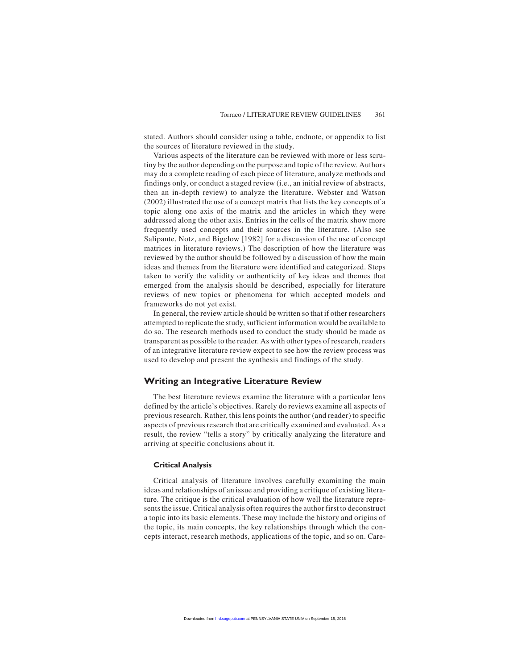stated. Authors should consider using a table, endnote, or appendix to list the sources of literature reviewed in the study.

Various aspects of the literature can be reviewed with more or less scrutiny by the author depending on the purpose and topic of the review. Authors may do a complete reading of each piece of literature, analyze methods and findings only, or conduct a staged review (i.e., an initial review of abstracts, then an in-depth review) to analyze the literature. Webster and Watson (2002) illustrated the use of a concept matrix that lists the key concepts of a topic along one axis of the matrix and the articles in which they were addressed along the other axis. Entries in the cells of the matrix show more frequently used concepts and their sources in the literature. (Also see Salipante, Notz, and Bigelow [1982] for a discussion of the use of concept matrices in literature reviews.) The description of how the literature was reviewed by the author should be followed by a discussion of how the main ideas and themes from the literature were identified and categorized. Steps taken to verify the validity or authenticity of key ideas and themes that emerged from the analysis should be described, especially for literature reviews of new topics or phenomena for which accepted models and frameworks do not yet exist.

In general, the review article should be written so that if other researchers attempted to replicate the study, sufficient information would be available to do so. The research methods used to conduct the study should be made as transparent as possible to the reader. As with other types of research, readers of an integrative literature review expect to see how the review process was used to develop and present the synthesis and findings of the study.

# **Writing an Integrative Literature Review**

The best literature reviews examine the literature with a particular lens defined by the article's objectives. Rarely do reviews examine all aspects of previous research. Rather, this lens points the author (and reader) to specific aspects of previous research that are critically examined and evaluated. As a result, the review "tells a story" by critically analyzing the literature and arriving at specific conclusions about it.

### **Critical Analysis**

Critical analysis of literature involves carefully examining the main ideas and relationships of an issue and providing a critique of existing literature. The critique is the critical evaluation of how well the literature represents the issue. Critical analysis often requires the author first to deconstruct a topic into its basic elements. These may include the history and origins of the topic, its main concepts, the key relationships through which the concepts interact, research methods, applications of the topic, and so on. Care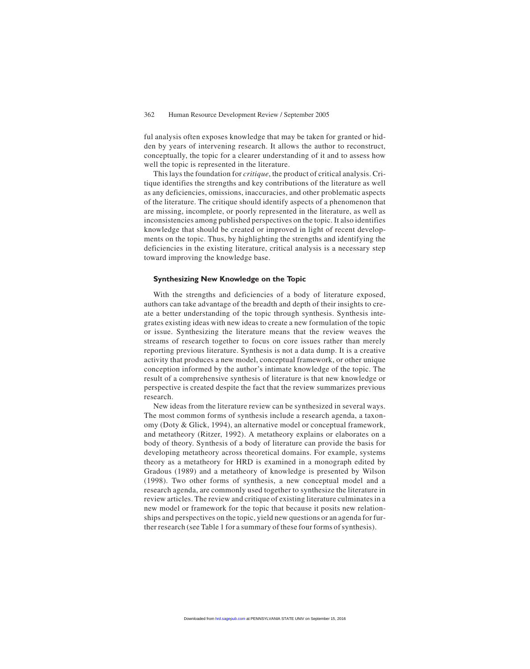ful analysis often exposes knowledge that may be taken for granted or hidden by years of intervening research. It allows the author to reconstruct, conceptually, the topic for a clearer understanding of it and to assess how well the topic is represented in the literature.

This lays the foundation for *critique*, the product of critical analysis. Critique identifies the strengths and key contributions of the literature as well as any deficiencies, omissions, inaccuracies, and other problematic aspects of the literature. The critique should identify aspects of a phenomenon that are missing, incomplete, or poorly represented in the literature, as well as inconsistencies among published perspectives on the topic. It also identifies knowledge that should be created or improved in light of recent developments on the topic. Thus, by highlighting the strengths and identifying the deficiencies in the existing literature, critical analysis is a necessary step toward improving the knowledge base.

### **Synthesizing New Knowledge on the Topic**

With the strengths and deficiencies of a body of literature exposed, authors can take advantage of the breadth and depth of their insights to create a better understanding of the topic through synthesis. Synthesis integrates existing ideas with new ideas to create a new formulation of the topic or issue. Synthesizing the literature means that the review weaves the streams of research together to focus on core issues rather than merely reporting previous literature. Synthesis is not a data dump. It is a creative activity that produces a new model, conceptual framework, or other unique conception informed by the author's intimate knowledge of the topic. The result of a comprehensive synthesis of literature is that new knowledge or perspective is created despite the fact that the review summarizes previous research.

New ideas from the literature review can be synthesized in several ways. The most common forms of synthesis include a research agenda, a taxonomy (Doty & Glick, 1994), an alternative model or conceptual framework, and metatheory (Ritzer, 1992). A metatheory explains or elaborates on a body of theory. Synthesis of a body of literature can provide the basis for developing metatheory across theoretical domains. For example, systems theory as a metatheory for HRD is examined in a monograph edited by Gradous (1989) and a metatheory of knowledge is presented by Wilson (1998). Two other forms of synthesis, a new conceptual model and a research agenda, are commonly used together to synthesize the literature in review articles. The review and critique of existing literature culminates in a new model or framework for the topic that because it posits new relationships and perspectives on the topic, yield new questions or an agenda for further research (see Table 1 for a summary of these four forms of synthesis).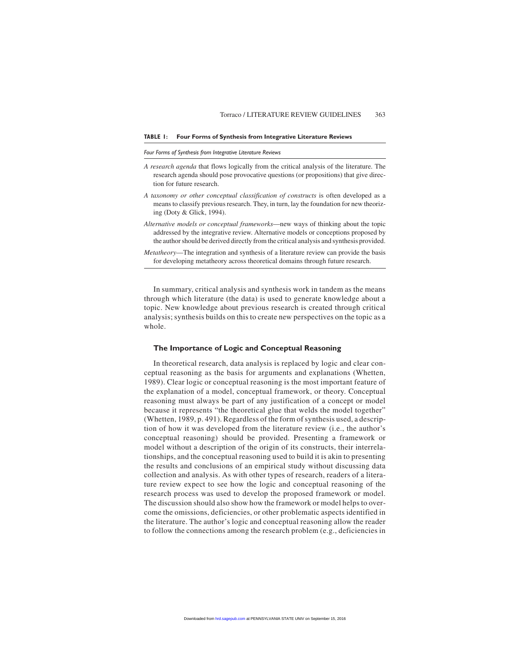#### **TABLE 1: Four Forms of Synthesis from Integrative Literature Reviews**

*Four Forms of Synthesis from Integrative Literature Reviews*

- *A research agenda* that flows logically from the critical analysis of the literature. The research agenda should pose provocative questions (or propositions) that give direction for future research.
- *A taxonomy or other conceptual classification of constructs* is often developed as a means to classify previous research. They, in turn, lay the foundation for new theorizing (Doty & Glick, 1994).
- *Alternative models or conceptual frameworks*—new ways of thinking about the topic addressed by the integrative review. Alternative models or conceptions proposed by the author should be derived directly from the critical analysis and synthesis provided.
- *Metatheory*—The integration and synthesis of a literature review can provide the basis for developing metatheory across theoretical domains through future research.

In summary, critical analysis and synthesis work in tandem as the means through which literature (the data) is used to generate knowledge about a topic. New knowledge about previous research is created through critical analysis; synthesis builds on this to create new perspectives on the topic as a whole.

### **The Importance of Logic and Conceptual Reasoning**

In theoretical research, data analysis is replaced by logic and clear conceptual reasoning as the basis for arguments and explanations (Whetten, 1989). Clear logic or conceptual reasoning is the most important feature of the explanation of a model, conceptual framework, or theory. Conceptual reasoning must always be part of any justification of a concept or model because it represents "the theoretical glue that welds the model together" (Whetten, 1989, p. 491). Regardless of the form of synthesis used, a description of how it was developed from the literature review (i.e., the author's conceptual reasoning) should be provided. Presenting a framework or model without a description of the origin of its constructs, their interrelationships, and the conceptual reasoning used to build it is akin to presenting the results and conclusions of an empirical study without discussing data collection and analysis. As with other types of research, readers of a literature review expect to see how the logic and conceptual reasoning of the research process was used to develop the proposed framework or model. The discussion should also show how the framework or model helps to overcome the omissions, deficiencies, or other problematic aspects identified in the literature. The author's logic and conceptual reasoning allow the reader to follow the connections among the research problem (e.g., deficiencies in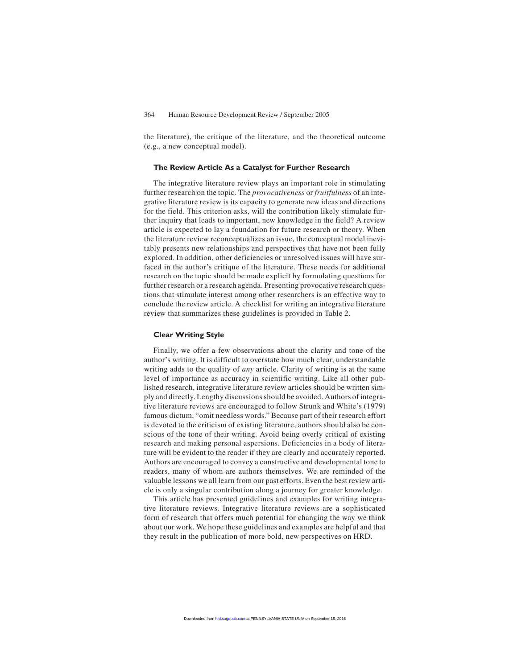the literature), the critique of the literature, and the theoretical outcome (e.g., a new conceptual model).

### **The Review Article As a Catalyst for Further Research**

The integrative literature review plays an important role in stimulating further research on the topic. The *provocativeness* or *fruitfulness* of an integrative literature review is its capacity to generate new ideas and directions for the field. This criterion asks, will the contribution likely stimulate further inquiry that leads to important, new knowledge in the field? A review article is expected to lay a foundation for future research or theory. When the literature review reconceptualizes an issue, the conceptual model inevitably presents new relationships and perspectives that have not been fully explored. In addition, other deficiencies or unresolved issues will have surfaced in the author's critique of the literature. These needs for additional research on the topic should be made explicit by formulating questions for further research or a research agenda. Presenting provocative research questions that stimulate interest among other researchers is an effective way to conclude the review article. A checklist for writing an integrative literature review that summarizes these guidelines is provided in Table 2.

# **Clear Writing Style**

Finally, we offer a few observations about the clarity and tone of the author's writing. It is difficult to overstate how much clear, understandable writing adds to the quality of *any* article. Clarity of writing is at the same level of importance as accuracy in scientific writing. Like all other published research, integrative literature review articles should be written simply and directly. Lengthy discussions should be avoided. Authors of integrative literature reviews are encouraged to follow Strunk and White's (1979) famous dictum, "omit needless words." Because part of their research effort is devoted to the criticism of existing literature, authors should also be conscious of the tone of their writing. Avoid being overly critical of existing research and making personal aspersions. Deficiencies in a body of literature will be evident to the reader if they are clearly and accurately reported. Authors are encouraged to convey a constructive and developmental tone to readers, many of whom are authors themselves. We are reminded of the valuable lessons we all learn from our past efforts. Even the best review article is only a singular contribution along a journey for greater knowledge.

This article has presented guidelines and examples for writing integrative literature reviews. Integrative literature reviews are a sophisticated form of research that offers much potential for changing the way we think about our work. We hope these guidelines and examples are helpful and that they result in the publication of more bold, new perspectives on HRD.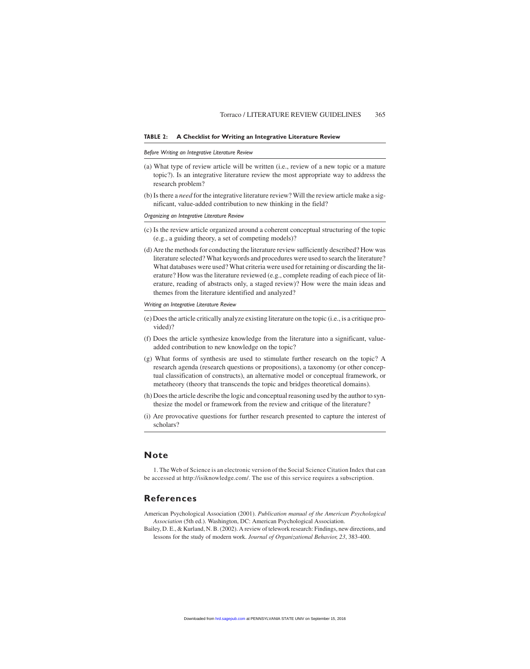#### **TABLE 2: A Checklist for Writing an Integrative Literature Review**

#### *Before Writing an Integrative Literature Review*

- (a) What type of review article will be written (i.e., review of a new topic or a mature topic?). Is an integrative literature review the most appropriate way to address the research problem?
- (b) Is there a *need* for the integrative literature review? Will the review article make a significant, value-added contribution to new thinking in the field?

#### *Organizing an Integrative Literature Review*

- (c) Is the review article organized around a coherent conceptual structuring of the topic (e.g., a guiding theory, a set of competing models)?
- (d) Are the methods for conducting the literature review sufficiently described? How was literature selected? What keywords and procedures were used to search the literature? What databases were used? What criteria were used for retaining or discarding the literature? How was the literature reviewed (e.g., complete reading of each piece of literature, reading of abstracts only, a staged review)? How were the main ideas and themes from the literature identified and analyzed?

*Writing an Integrative Literature Review*

- (e) Does the article critically analyze existing literature on the topic (i.e., is a critique provided)?
- (f) Does the article synthesize knowledge from the literature into a significant, valueadded contribution to new knowledge on the topic?
- (g) What forms of synthesis are used to stimulate further research on the topic? A research agenda (research questions or propositions), a taxonomy (or other conceptual classification of constructs), an alternative model or conceptual framework, or metatheory (theory that transcends the topic and bridges theoretical domains).
- (h) Does the article describe the logic and conceptual reasoning used by the author to synthesize the model or framework from the review and critique of the literature?
- (i) Are provocative questions for further research presented to capture the interest of scholars?

# **Note**

1. The Web of Science is an electronic version of the Social Science Citation Index that can be accessed at http://isiknowledge.com/. The use of this service requires a subscription.

# **References**

- American Psychological Association (2001). *Publication manual of the American Psychological Association* (5th ed.). Washington, DC: American Psychological Association.
- Bailey, D. E., & Kurland, N. B. (2002). A review of telework research: Findings, new directions, and lessons for the study of modern work. *Journal of Organizational Behavior*, *23*, 383-400.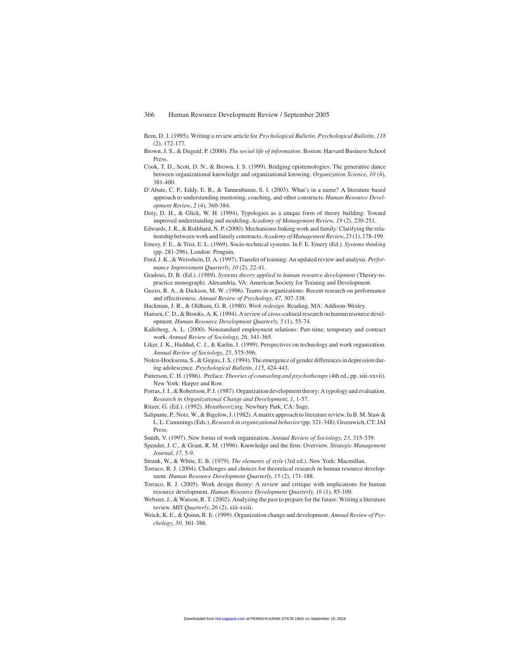- Bem, D. J. (1995). Writing a review article for *Psychological Bulletin*. *Psychological Bulletin*, *118* (2), 172-177.
- Brown, J. S., & Duguid, P. (2000). *The social life of information*. Boston: Harvard Business School Press.
- Cook, T. D., Scott, D. N., & Brown, J. S. (1999). Bridging epistemologies: The generative dance between organizational knowledge and organizational knowing. *Organization Science*, *10* (4), 381-400.
- D'Abate, C. P., Eddy, E. R., & Tannenbaum, S. I. (2003). What's in a name? A literature based approach to understanding mentoring, coaching, and other constructs. *Human Resource Development Review*, *2* (4), 360-384.
- Doty, D. H., & Glick, W. H. (1994). Typologies as a unique form of theory building: Toward improved understanding and modeling. *Academy of Management Review*, *19* (2), 230-251.
- Edwards, J. R., & Rothbard, N. P. (2000). Mechanisms linking work and family: Clarifying the relationship between work and family constructs.*Academy of Management Review*, *25* (1), 178-199.
- Emery, F. E., & Trist, E. L. (1969). Socio-technical systems. In F. E. Emery (Ed.). *Systems thinking* (pp. 281-296). London: Penguin.
- Ford, J. K., & Weissbein, D. A. (1997). Transfer of training: An updated review and analysis. *Performance Improvement Quarterly*, *10* (2), 22-41.
- Gradous, D. B. (Ed.). (1989). *Systems theory applied to human resource development* (Theory-topractice monograph). Alexandria, VA: American Society for Training and Development.
- Guzzo, R. A., & Dickson, M. W. (1996). Teams in organizations: Recent research on performance and effectiveness. *Annual Review of Psychology*, *47*, 307-338.
- Hackman, J. R., & Oldham, G. R. (1980). *Work redesign*. Reading, MA: Addison-Wesley.
- Hansen, C. D., & Brooks, A. K. (1994). A review of cross-cultural research on human resource development. *Human Resource Development Quarterly*, *5* (1), 55-74.
- Kalleberg, A. L. (2000). Nonstandard employment relations: Part-time, temporary and contract work. *Annual Review of Sociology*, *26*, 341-365.
- Liker, J. K., Haddad, C. J., & Karlin, J. (1999). Perspectives on technology and work organization. *Annual Review of Sociology*, *25*, 575-596.
- Nolen-Hoeksema, S., & Girgus, J. S. (1994). The emergence of gender differences in depression during adolescence. *Psychological Bulletin*, *115*, 424-443.
- Patterson, C. H. (1986). Preface*. Theories of counseling and psychotherapy* (4th ed., pp. xiii-xxvii). New York: Harper and Row.
- Porras, J. I., & Robertson, P. J. (1987). Organization development theory: A typology and evaluation. *Research in Organizational Change and Development*, *1*, 1-57.
- Ritzer, G. (Ed.). (1992). *Metatheorizing*. Newbury Park, CA: Sage.

Salipante, P., Notz, W., & Bigelow, J. (1982). A matrix approach to literature review. In B. M. Staw & L. L. Cummings (Eds.), *Research in organizational behavior*(pp. 321-348). Greenwich, CT: JAI Press.

- Smith, V. (1997). New forms of work organization. *Annual Review of Sociology*, *23*, 315-339.
- Spender, J. C., & Grant, R. M. (1996). Knowledge and the firm: Overview. *Strategic Management Journal*, *17*, 5-9.
- Strunk, W., & White, E. B. (1979). *The elements of style* (3rd ed.). New York: Macmillan.
- Torraco, R. J. (2004). Challenges and choices for theoretical research in human resource development. *Human Resource Development Quarterly*, *15* (2), 171-188.
- Torraco, R. J. (2005). Work design theory: A review and critique with implications for human resource development. *Human Resource Development Quarterly*, *16* (1), 85-109.
- Webster, J., & Watson, R. T. (2002). Analyzing the past to prepare for the future: Writing a literature review. *MIS Quarterly*, *26* (2), xiii-xxiii.
- Weick, K. E., & Quinn, R. E. (1999). Organization change and development. *Annual Review of Psychology*, *50*, 361-386.